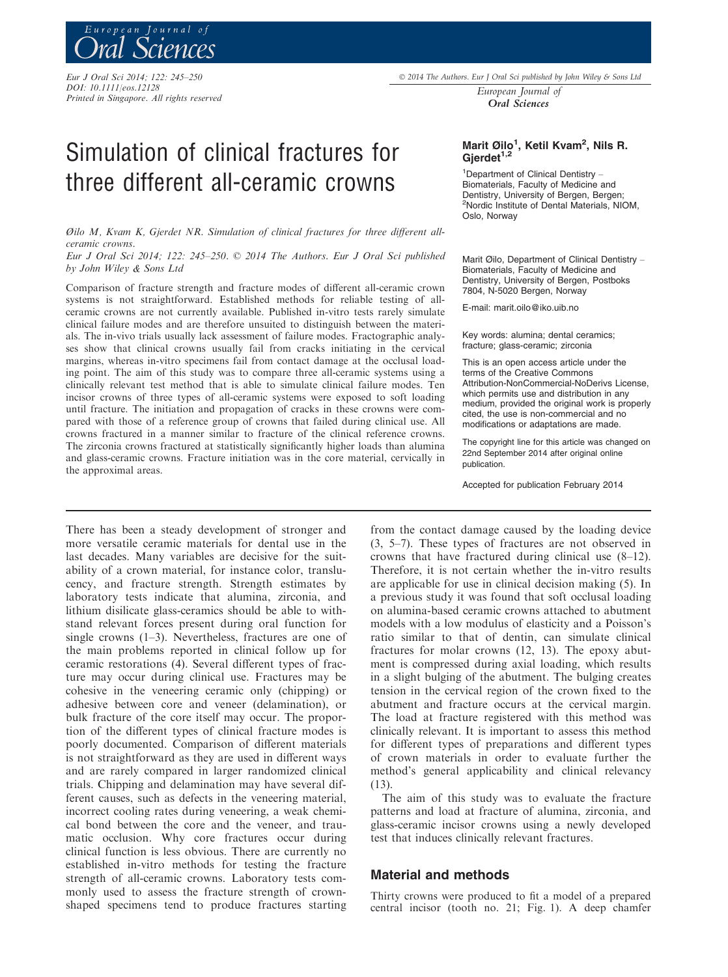Eur J Oral Sci 2014; 122: 245–250

DOI: 10.1111/eos.12128 Printed in Singapore. All rights reserved 2014 The Authors. Eur J Oral Sci published by John Wiley & Sons Ltd

European Journal of Oral Sciences

# Simulation of clinical fractures for three different all-ceramic crowns

Øilo M, Kvam K, Gjerdet NR. Simulation of clinical fractures for three different allceramic crowns.

Eur J Oral Sci 2014; 122: 245–250. © 2014 The Authors. Eur J Oral Sci published by John Wiley & Sons Ltd

Comparison of fracture strength and fracture modes of different all-ceramic crown systems is not straightforward. Established methods for reliable testing of allceramic crowns are not currently available. Published in-vitro tests rarely simulate clinical failure modes and are therefore unsuited to distinguish between the materials. The in-vivo trials usually lack assessment of failure modes. Fractographic analyses show that clinical crowns usually fail from cracks initiating in the cervical margins, whereas in-vitro specimens fail from contact damage at the occlusal loading point. The aim of this study was to compare three all-ceramic systems using a clinically relevant test method that is able to simulate clinical failure modes. Ten incisor crowns of three types of all-ceramic systems were exposed to soft loading until fracture. The initiation and propagation of cracks in these crowns were compared with those of a reference group of crowns that failed during clinical use. All crowns fractured in a manner similar to fracture of the clinical reference crowns. The zirconia crowns fractured at statistically significantly higher loads than alumina and glass-ceramic crowns. Fracture initiation was in the core material, cervically in the approximal areas.

There has been a steady development of stronger and more versatile ceramic materials for dental use in the last decades. Many variables are decisive for the suitability of a crown material, for instance color, translucency, and fracture strength. Strength estimates by laboratory tests indicate that alumina, zirconia, and lithium disilicate glass-ceramics should be able to withstand relevant forces present during oral function for single crowns (1–3). Nevertheless, fractures are one of the main problems reported in clinical follow up for ceramic restorations (4). Several different types of fracture may occur during clinical use. Fractures may be cohesive in the veneering ceramic only (chipping) or adhesive between core and veneer (delamination), or bulk fracture of the core itself may occur. The proportion of the different types of clinical fracture modes is poorly documented. Comparison of different materials is not straightforward as they are used in different ways and are rarely compared in larger randomized clinical trials. Chipping and delamination may have several different causes, such as defects in the veneering material, incorrect cooling rates during veneering, a weak chemical bond between the core and the veneer, and traumatic occlusion. Why core fractures occur during clinical function is less obvious. There are currently no established in-vitro methods for testing the fracture strength of all-ceramic crowns. Laboratory tests commonly used to assess the fracture strength of crownshaped specimens tend to produce fractures starting

Marit Øilo<sup>1</sup>, Ketil Kvam<sup>2</sup>, Nils R. Gjerdet $1,2$ 

1 Department of Clinical Dentistry – Biomaterials, Faculty of Medicine and Dentistry, University of Bergen, Bergen; 2 Nordic Institute of Dental Materials, NIOM, Oslo, Norway

Marit Øilo, Department of Clinical Dentistry – Biomaterials, Faculty of Medicine and Dentistry, University of Bergen, Postboks 7804, N-5020 Bergen, Norway

E-mail: marit.oilo@iko.uib.no

Key words: alumina; dental ceramics; fracture; glass-ceramic; zirconia

This is an open access article under the terms of the Creative Commons Attribution-NonCommercial-NoDerivs License, which permits use and distribution in any medium, provided the original work is properly cited, the use is non-commercial and no modifications or adaptations are made.

The copyright line for this article was changed on 22nd September 2014 after original online publication.

Accepted for publication February 2014

from the contact damage caused by the loading device (3, 5–7). These types of fractures are not observed in crowns that have fractured during clinical use (8–12). Therefore, it is not certain whether the in-vitro results are applicable for use in clinical decision making (5). In a previous study it was found that soft occlusal loading on alumina-based ceramic crowns attached to abutment models with a low modulus of elasticity and a Poisson's ratio similar to that of dentin, can simulate clinical fractures for molar crowns (12, 13). The epoxy abutment is compressed during axial loading, which results in a slight bulging of the abutment. The bulging creates tension in the cervical region of the crown fixed to the abutment and fracture occurs at the cervical margin. The load at fracture registered with this method was clinically relevant. It is important to assess this method for different types of preparations and different types of crown materials in order to evaluate further the method's general applicability and clinical relevancy (13).

The aim of this study was to evaluate the fracture patterns and load at fracture of alumina, zirconia, and glass-ceramic incisor crowns using a newly developed test that induces clinically relevant fractures.

### Material and methods

Thirty crowns were produced to fit a model of a prepared central incisor (tooth no. 21; Fig. 1). A deep chamfer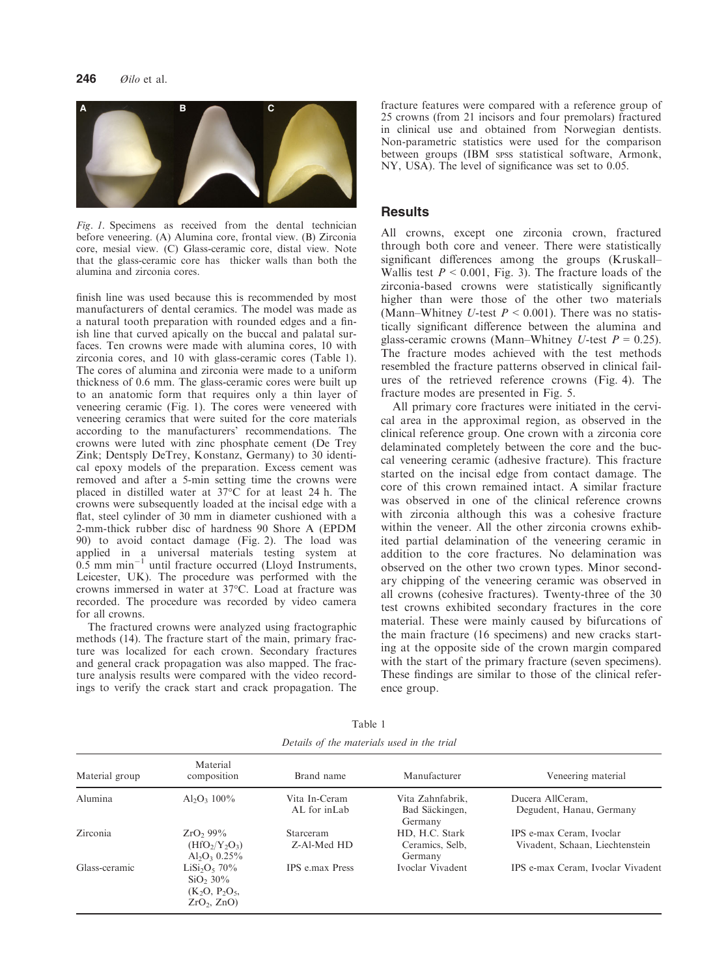

Fig. 1. Specimens as received from the dental technician before veneering. (A) Alumina core, frontal view. (B) Zirconia core, mesial view. (C) Glass-ceramic core, distal view. Note that the glass-ceramic core has thicker walls than both the alumina and zirconia cores.

finish line was used because this is recommended by most manufacturers of dental ceramics. The model was made as a natural tooth preparation with rounded edges and a finish line that curved apically on the buccal and palatal surfaces. Ten crowns were made with alumina cores, 10 with zirconia cores, and 10 with glass-ceramic cores (Table 1). The cores of alumina and zirconia were made to a uniform thickness of 0.6 mm. The glass-ceramic cores were built up to an anatomic form that requires only a thin layer of veneering ceramic (Fig. 1). The cores were veneered with veneering ceramics that were suited for the core materials according to the manufacturers' recommendations. The crowns were luted with zinc phosphate cement (De Trey Zink; Dentsply DeTrey, Konstanz, Germany) to 30 identical epoxy models of the preparation. Excess cement was removed and after a 5-min setting time the crowns were placed in distilled water at 37°C for at least 24 h. The crowns were subsequently loaded at the incisal edge with a flat, steel cylinder of 30 mm in diameter cushioned with a 2-mm-thick rubber disc of hardness 90 Shore A (EPDM 90) to avoid contact damage (Fig. 2). The load was applied in a universal materials testing system at  $0.5 \text{ mm min}^{-1}$  until fracture occurred (Lloyd Instruments, Leicester, UK). The procedure was performed with the crowns immersed in water at 37°C. Load at fracture was recorded. The procedure was recorded by video camera for all crowns.

The fractured crowns were analyzed using fractographic methods (14). The fracture start of the main, primary fracture was localized for each crown. Secondary fractures and general crack propagation was also mapped. The fracture analysis results were compared with the video recordings to verify the crack start and crack propagation. The fracture features were compared with a reference group of 25 crowns (from 21 incisors and four premolars) fractured in clinical use and obtained from Norwegian dentists. Non-parametric statistics were used for the comparison between groups (IBM SPSS statistical software, Armonk, NY, USA). The level of significance was set to 0.05.

#### **Results**

All crowns, except one zirconia crown, fractured through both core and veneer. There were statistically significant differences among the groups (Kruskall– Wallis test  $P < 0.001$ , Fig. 3). The fracture loads of the zirconia-based crowns were statistically significantly higher than were those of the other two materials (Mann–Whitney U-test  $P < 0.001$ ). There was no statistically significant difference between the alumina and glass-ceramic crowns (Mann–Whitney U-test  $P = 0.25$ ). The fracture modes achieved with the test methods resembled the fracture patterns observed in clinical failures of the retrieved reference crowns (Fig. 4). The fracture modes are presented in Fig. 5.

All primary core fractures were initiated in the cervical area in the approximal region, as observed in the clinical reference group. One crown with a zirconia core delaminated completely between the core and the buccal veneering ceramic (adhesive fracture). This fracture started on the incisal edge from contact damage. The core of this crown remained intact. A similar fracture was observed in one of the clinical reference crowns with zirconia although this was a cohesive fracture within the veneer. All the other zirconia crowns exhibited partial delamination of the veneering ceramic in addition to the core fractures. No delamination was observed on the other two crown types. Minor secondary chipping of the veneering ceramic was observed in all crowns (cohesive fractures). Twenty-three of the 30 test crowns exhibited secondary fractures in the core material. These were mainly caused by bifurcations of the main fracture (16 specimens) and new cracks starting at the opposite side of the crown margin compared with the start of the primary fracture (seven specimens). These findings are similar to those of the clinical reference group.

| Material group | Material<br>composition                                              | Brand name                    | Manufacturer                                  | Veneering material                                          |
|----------------|----------------------------------------------------------------------|-------------------------------|-----------------------------------------------|-------------------------------------------------------------|
| Alumina        | Al <sub>2</sub> O <sub>2</sub> 100\%                                 | Vita In-Ceram<br>AL for inLab | Vita Zahnfabrik,<br>Bad Säckingen,<br>Germany | Ducera AllCeram,<br>Degudent, Hanau, Germany                |
| Zirconia       | $ZrO_2$ , 99%<br>$(HfO2/Y2O3)$<br>$Al_2O_3$ 0.25%                    | Starceram<br>Z-Al-Med HD      | HD, H.C. Stark<br>Ceramics, Selb,<br>Germany  | IPS e-max Ceram, Ivoclar<br>Vivadent, Schaan, Liechtenstein |
| Glass-ceramic  | $LiSi2O5$ 70%<br>$SiO_2 30\%$<br>$(K_2O, P_2O_5,$<br>$ZrO_2$ , $ZnO$ | <b>IPS</b> e.max Press        | Ivoclar Vivadent                              | IPS e-max Ceram, Ivoclar Vivadent                           |

Table 1 Details of the materials used in the trial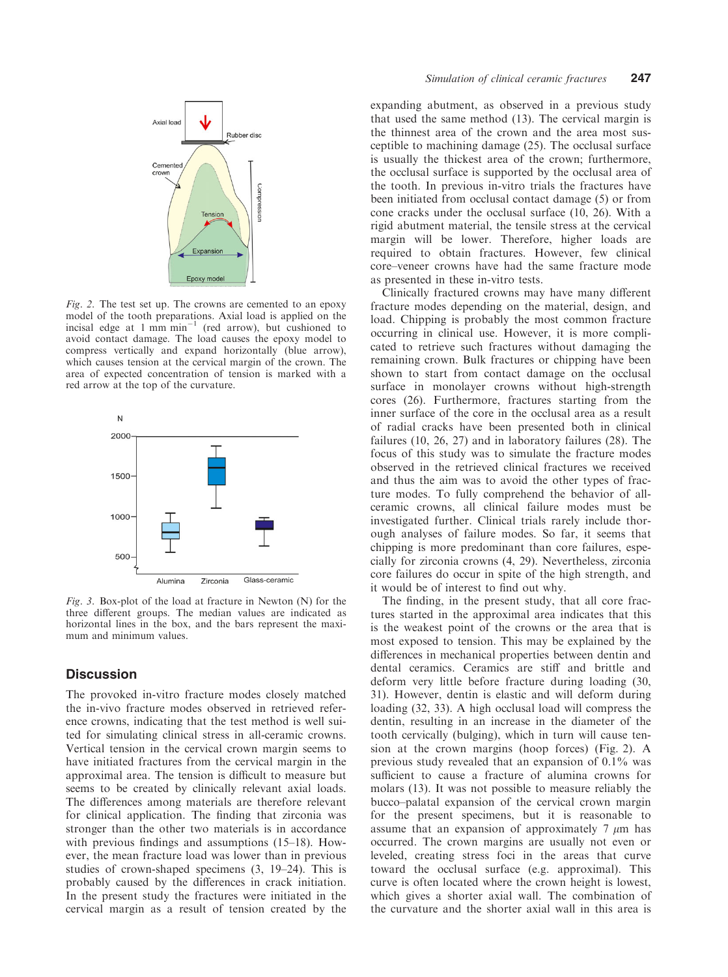

Fig. 2. The test set up. The crowns are cemented to an epoxy model of the tooth preparations. Axial load is applied on the incisal edge at  $1 \text{ mm min}^{-1}$  (red arrow), but cushioned to avoid contact damage. The load causes the epoxy model to compress vertically and expand horizontally (blue arrow), which causes tension at the cervical margin of the crown. The area of expected concentration of tension is marked with a red arrow at the top of the curvature.



Fig. 3. Box-plot of the load at fracture in Newton (N) for the three different groups. The median values are indicated as horizontal lines in the box, and the bars represent the maximum and minimum values.

## **Discussion**

The provoked in-vitro fracture modes closely matched the in-vivo fracture modes observed in retrieved reference crowns, indicating that the test method is well suited for simulating clinical stress in all-ceramic crowns. Vertical tension in the cervical crown margin seems to have initiated fractures from the cervical margin in the approximal area. The tension is difficult to measure but seems to be created by clinically relevant axial loads. The differences among materials are therefore relevant for clinical application. The finding that zirconia was stronger than the other two materials is in accordance with previous findings and assumptions (15–18). However, the mean fracture load was lower than in previous studies of crown-shaped specimens (3, 19–24). This is probably caused by the differences in crack initiation. In the present study the fractures were initiated in the cervical margin as a result of tension created by the

expanding abutment, as observed in a previous study that used the same method (13). The cervical margin is the thinnest area of the crown and the area most susceptible to machining damage (25). The occlusal surface is usually the thickest area of the crown; furthermore, the occlusal surface is supported by the occlusal area of the tooth. In previous in-vitro trials the fractures have been initiated from occlusal contact damage (5) or from cone cracks under the occlusal surface (10, 26). With a rigid abutment material, the tensile stress at the cervical margin will be lower. Therefore, higher loads are required to obtain fractures. However, few clinical core–veneer crowns have had the same fracture mode as presented in these in-vitro tests.

Clinically fractured crowns may have many different fracture modes depending on the material, design, and load. Chipping is probably the most common fracture occurring in clinical use. However, it is more complicated to retrieve such fractures without damaging the remaining crown. Bulk fractures or chipping have been shown to start from contact damage on the occlusal surface in monolayer crowns without high-strength cores (26). Furthermore, fractures starting from the inner surface of the core in the occlusal area as a result of radial cracks have been presented both in clinical failures (10, 26, 27) and in laboratory failures (28). The focus of this study was to simulate the fracture modes observed in the retrieved clinical fractures we received and thus the aim was to avoid the other types of fracture modes. To fully comprehend the behavior of allceramic crowns, all clinical failure modes must be investigated further. Clinical trials rarely include thorough analyses of failure modes. So far, it seems that chipping is more predominant than core failures, especially for zirconia crowns (4, 29). Nevertheless, zirconia core failures do occur in spite of the high strength, and it would be of interest to find out why.

The finding, in the present study, that all core fractures started in the approximal area indicates that this is the weakest point of the crowns or the area that is most exposed to tension. This may be explained by the differences in mechanical properties between dentin and dental ceramics. Ceramics are stiff and brittle and deform very little before fracture during loading (30, 31). However, dentin is elastic and will deform during loading (32, 33). A high occlusal load will compress the dentin, resulting in an increase in the diameter of the tooth cervically (bulging), which in turn will cause tension at the crown margins (hoop forces) (Fig. 2). A previous study revealed that an expansion of 0.1% was sufficient to cause a fracture of alumina crowns for molars (13). It was not possible to measure reliably the bucco–palatal expansion of the cervical crown margin for the present specimens, but it is reasonable to assume that an expansion of approximately  $7 \mu m$  has occurred. The crown margins are usually not even or leveled, creating stress foci in the areas that curve toward the occlusal surface (e.g. approximal). This curve is often located where the crown height is lowest, which gives a shorter axial wall. The combination of the curvature and the shorter axial wall in this area is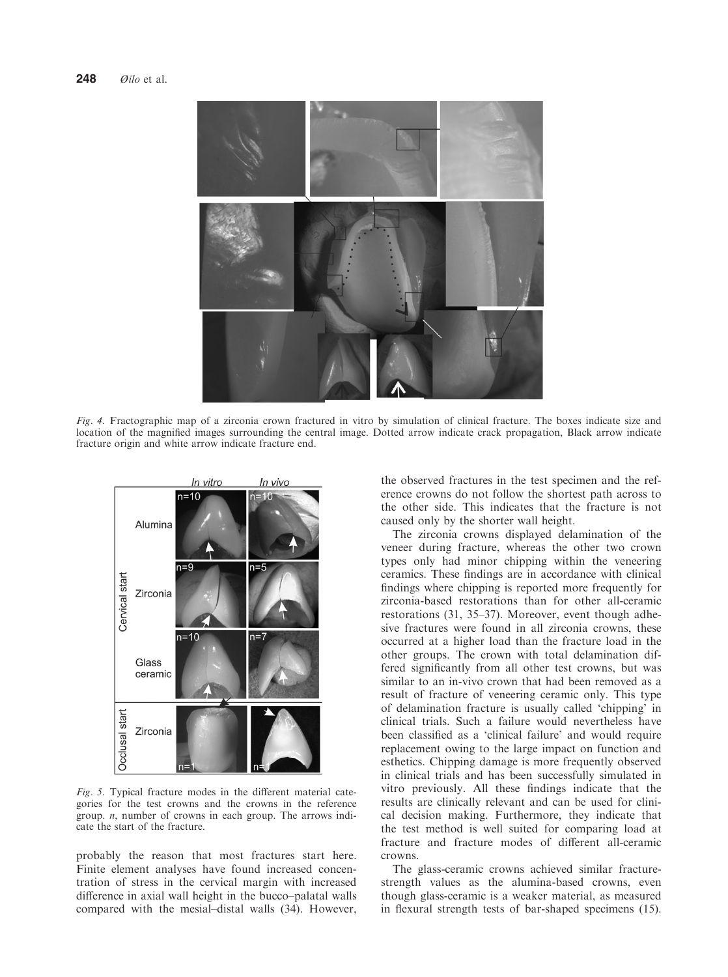

Fig. 4. Fractographic map of a zirconia crown fractured in vitro by simulation of clinical fracture. The boxes indicate size and location of the magnified images surrounding the central image. Dotted arrow indicate crack propagation, Black arrow indicate fracture origin and white arrow indicate fracture end.



Fig. 5. Typical fracture modes in the different material categories for the test crowns and the crowns in the reference group.  $n$ , number of crowns in each group. The arrows indicate the start of the fracture.

probably the reason that most fractures start here. Finite element analyses have found increased concentration of stress in the cervical margin with increased difference in axial wall height in the bucco–palatal walls compared with the mesial–distal walls (34). However, the observed fractures in the test specimen and the reference crowns do not follow the shortest path across to the other side. This indicates that the fracture is not caused only by the shorter wall height.

The zirconia crowns displayed delamination of the veneer during fracture, whereas the other two crown types only had minor chipping within the veneering ceramics. These findings are in accordance with clinical findings where chipping is reported more frequently for zirconia-based restorations than for other all-ceramic restorations (31, 35–37). Moreover, event though adhesive fractures were found in all zirconia crowns, these occurred at a higher load than the fracture load in the other groups. The crown with total delamination differed significantly from all other test crowns, but was similar to an in-vivo crown that had been removed as a result of fracture of veneering ceramic only. This type of delamination fracture is usually called 'chipping' in clinical trials. Such a failure would nevertheless have been classified as a 'clinical failure' and would require replacement owing to the large impact on function and esthetics. Chipping damage is more frequently observed in clinical trials and has been successfully simulated in vitro previously. All these findings indicate that the results are clinically relevant and can be used for clinical decision making. Furthermore, they indicate that the test method is well suited for comparing load at fracture and fracture modes of different all-ceramic crowns.

The glass-ceramic crowns achieved similar fracturestrength values as the alumina-based crowns, even though glass-ceramic is a weaker material, as measured in flexural strength tests of bar-shaped specimens (15).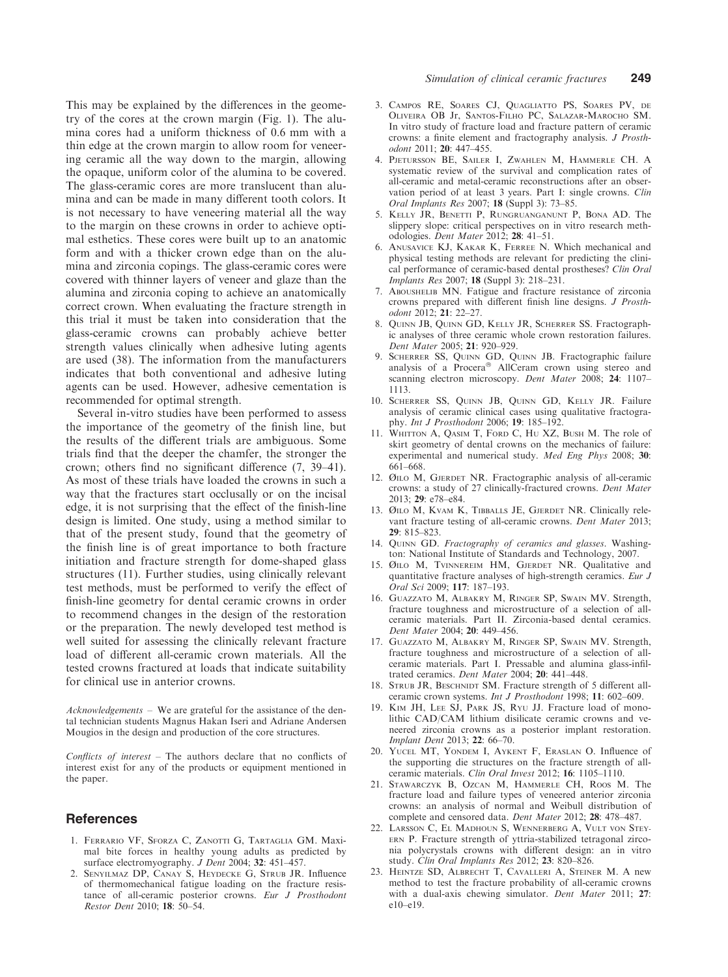This may be explained by the differences in the geometry of the cores at the crown margin (Fig. 1). The alumina cores had a uniform thickness of 0.6 mm with a thin edge at the crown margin to allow room for veneering ceramic all the way down to the margin, allowing the opaque, uniform color of the alumina to be covered. The glass-ceramic cores are more translucent than alumina and can be made in many different tooth colors. It is not necessary to have veneering material all the way to the margin on these crowns in order to achieve optimal esthetics. These cores were built up to an anatomic form and with a thicker crown edge than on the alumina and zirconia copings. The glass-ceramic cores were covered with thinner layers of veneer and glaze than the alumina and zirconia coping to achieve an anatomically correct crown. When evaluating the fracture strength in this trial it must be taken into consideration that the glass-ceramic crowns can probably achieve better strength values clinically when adhesive luting agents are used (38). The information from the manufacturers indicates that both conventional and adhesive luting agents can be used. However, adhesive cementation is recommended for optimal strength.

Several in-vitro studies have been performed to assess the importance of the geometry of the finish line, but the results of the different trials are ambiguous. Some trials find that the deeper the chamfer, the stronger the crown; others find no significant difference (7, 39–41). As most of these trials have loaded the crowns in such a way that the fractures start occlusally or on the incisal edge, it is not surprising that the effect of the finish-line design is limited. One study, using a method similar to that of the present study, found that the geometry of the finish line is of great importance to both fracture initiation and fracture strength for dome-shaped glass structures (11). Further studies, using clinically relevant test methods, must be performed to verify the effect of finish-line geometry for dental ceramic crowns in order to recommend changes in the design of the restoration or the preparation. The newly developed test method is well suited for assessing the clinically relevant fracture load of different all-ceramic crown materials. All the tested crowns fractured at loads that indicate suitability for clinical use in anterior crowns.

Acknowledgements – We are grateful for the assistance of the dental technician students Magnus Hakan Iseri and Adriane Andersen Mougios in the design and production of the core structures.

Conflicts of interest – The authors declare that no conflicts of interest exist for any of the products or equipment mentioned in the paper.

#### References

- 1. FERRARIO VF, SFORZA C, ZANOTTI G, TARTAGLIA GM. Maximal bite forces in healthy young adults as predicted by surface electromyography. *J Dent* 2004; 32: 451–457.
- 2. SENYILMAZ DP, CANAY S, HEYDECKE G, STRUB JR. Influence of thermomechanical fatigue loading on the fracture resistance of all-ceramic posterior crowns. Eur J Prosthodont Restor Dent 2010; 18: 50–54.
- 3. CAMPOS RE, SOARES CJ, QUAGLIATTO PS, SOARES PV, DE OLIVEIRA OB Jr, SANTOS-FILHO PC, SALAZAR-MAROCHO SM. In vitro study of fracture load and fracture pattern of ceramic crowns: a finite element and fractography analysis. J Prosthodont 2011; 20: 447–455.
- 4. PJETURSSON BE, SAILER I, ZWAHLEN M, HAMMERLE CH. A systematic review of the survival and complication rates of all-ceramic and metal-ceramic reconstructions after an observation period of at least 3 years. Part I: single crowns. Clin Oral Implants Res 2007; 18 (Suppl 3): 73–85.
- 5. KELLY JR, BENETTI P, RUNGRUANGANUNT P, BONA AD. The slippery slope: critical perspectives on in vitro research methodologies. Dent Mater 2012; 28: 41–51.
- 6. ANUSAVICE KJ, KAKAR K, FERREE N. Which mechanical and physical testing methods are relevant for predicting the clinical performance of ceramic-based dental prostheses? Clin Oral Implants Res 2007; 18 (Suppl 3): 218–231.
- 7. ABOUSHELIB MN. Fatigue and fracture resistance of zirconia crowns prepared with different finish line designs. J Prosthodont 2012; 21: 22–27.
- 8. QUINN JB, QUINN GD, KELLY JR, SCHERRER SS. Fractographic analyses of three ceramic whole crown restoration failures. Dent Mater 2005; 21: 920–929.
- 9. SCHERRER SS, QUINN GD, QUINN JB. Fractographic failure analysis of a Procera<sup>®</sup> AllCeram crown using stereo and scanning electron microscopy. Dent Mater 2008; 24: 1107-1113.
- 10. SCHERRER SS, QUINN JB, QUINN GD, KELLY JR. Failure analysis of ceramic clinical cases using qualitative fractography. Int J Prosthodont 2006; 19: 185–192.
- 11. WHITTON A, QASIM T, FORD C, HU XZ, BUSH M. The role of skirt geometry of dental crowns on the mechanics of failure: experimental and numerical study. Med Eng Phys 2008; 30: 661–668.
- 12. ØILO M, GJERDET NR. Fractographic analysis of all-ceramic crowns: a study of 27 clinically-fractured crowns. Dent Mater 2013; 29: e78–e84.
- 13. ØILO M, KVAM K, TIBBALLS JE, GJERDET NR. Clinically relevant fracture testing of all-ceramic crowns. Dent Mater 2013;  $29.815 - 823$
- 14. QUINN GD. Fractography of ceramics and glasses. Washington: National Institute of Standards and Technology, 2007.
- 15. ØILO M, TVINNEREIM HM, GJERDET NR. Qualitative and quantitative fracture analyses of high-strength ceramics. Eur J Oral Sci 2009; 117: 187–193.
- 16. GUAZZATO M, ALBAKRY M, RINGER SP, SWAIN MV. Strength, fracture toughness and microstructure of a selection of allceramic materials. Part II. Zirconia-based dental ceramics. Dent Mater 2004; 20: 449–456.
- 17. GUAZZATO M, ALBAKRY M, RINGER SP, SWAIN MV. Strength, fracture toughness and microstructure of a selection of allceramic materials. Part I. Pressable and alumina glass-infiltrated ceramics. Dent Mater 2004; 20: 441–448.
- 18. STRUB JR, BESCHNIDT SM. Fracture strength of 5 different allceramic crown systems. Int J Prosthodont 1998; 11: 602–609.
- 19. KIM JH, LEE SJ, PARK JS, RYU JJ. Fracture load of monolithic CAD/CAM lithium disilicate ceramic crowns and veneered zirconia crowns as a posterior implant restoration. Implant Dent 2013; 22: 66–70.
- 20. YUCEL MT, YONDEM I, AYKENT F, ERASLAN O. Influence of the supporting die structures on the fracture strength of allceramic materials. Clin Oral Invest 2012; 16: 1105–1110.
- 21. STAWARCZYK B, OZCAN M, HAMMERLE CH, ROOS M. The fracture load and failure types of veneered anterior zirconia crowns: an analysis of normal and Weibull distribution of complete and censored data. Dent Mater 2012; 28: 478–487.
- 22. LARSSON C, EL MADHOUN S, WENNERBERG A, VULT VON STEY-ERN P. Fracture strength of yttria-stabilized tetragonal zirconia polycrystals crowns with different design: an in vitro study. Clin Oral Implants Res 2012; 23: 820–826.
- 23. HEINTZE SD, ALBRECHT T, CAVALLERI A, STEINER M. A new method to test the fracture probability of all-ceramic crowns with a dual-axis chewing simulator. Dent Mater 2011; 27: e10–e19.